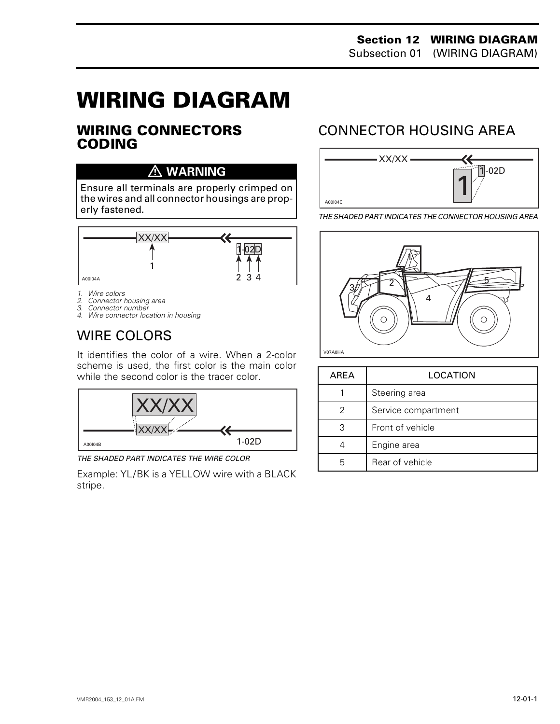# **WIRING DIAGRAM 0**

#### **WIRING CONNECTORS CODING**

### **WARNING**

Ensure all terminals are properly crimped on the wires and all connector housings are properly fastened.



- 
- *1. Wire colors 2. Connector housing area*
- *3. Connector number*
- *4. Wire connector location in housing*

## WIRE COLORS

It identifies the color of a wire. When a 2-color scheme is used, the first color is the main color while the second color is the tracer color.



*THE SHADED PART INDICATES THE WIRE COLOR*

Example: YL/BK is a YELLOW wire with a BLACK stripe.

## CONNECTOR HOUSING AREA



*THE SHADED PART INDICATES THE CONNECTOR HOUSING AREA*



| AREA | LOCATION            |
|------|---------------------|
|      | Steering area       |
|      | Service compartment |
| З    | Front of vehicle    |
|      | Engine area         |
|      | Rear of vehicle     |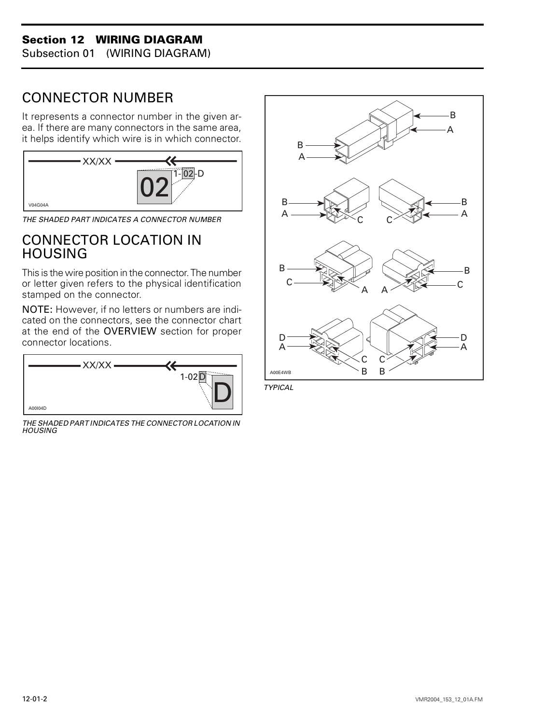#### **Section 12 WIRING DIAGRAM**

Subsection 01 (WIRING DIAGRAM)

## CONNECTOR NUMBER

It represents a connector number in the given area. If there are many connectors in the same area, it helps identify which wire is in which connector.



*THE SHADED PART INDICATES A CONNECTOR NUMBER*

### CONNECTOR LOCATION IN **HOUSING**

This is the wire position in the connector. The number or letter given refers to the physical identification stamped on the connector.

NOTE: However, if no letters or numbers are indicated on the connectors, see the connector chart at the end of the OVERVIEW section for proper connector locations.



*THE SHADED PART INDICATES THE CONNECTOR LOCATION IN HOUSING*



*TYPICAL*